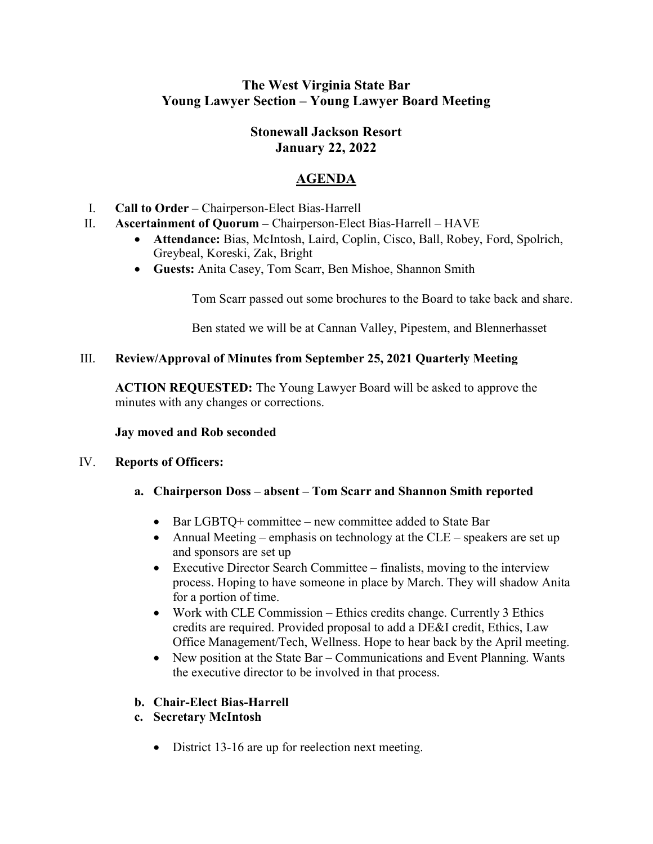# The West Virginia State Bar Young Lawyer Section – Young Lawyer Board Meeting

# Stonewall Jackson Resort January 22, 2022

# AGENDA

- I. Call to Order Chairperson-Elect Bias-Harrell
- II. Ascertainment of Quorum Chairperson-Elect Bias-Harrell HAVE
	- Attendance: Bias, McIntosh, Laird, Coplin, Cisco, Ball, Robey, Ford, Spolrich, Greybeal, Koreski, Zak, Bright
	- Guests: Anita Casey, Tom Scarr, Ben Mishoe, Shannon Smith

Tom Scarr passed out some brochures to the Board to take back and share.

Ben stated we will be at Cannan Valley, Pipestem, and Blennerhasset

### III. Review/Approval of Minutes from September 25, 2021 Quarterly Meeting

ACTION REQUESTED: The Young Lawyer Board will be asked to approve the minutes with any changes or corrections.

### Jay moved and Rob seconded

### IV. Reports of Officers:

- a. Chairperson Doss absent Tom Scarr and Shannon Smith reported
	- Bar LGBTQ+ committee new committee added to State Bar
	- Annual Meeting emphasis on technology at the CLE speakers are set up and sponsors are set up
	- Executive Director Search Committee finalists, moving to the interview process. Hoping to have someone in place by March. They will shadow Anita for a portion of time.
	- Work with CLE Commission Ethics credits change. Currently 3 Ethics credits are required. Provided proposal to add a DE&I credit, Ethics, Law Office Management/Tech, Wellness. Hope to hear back by the April meeting.
	- New position at the State Bar Communications and Event Planning. Wants the executive director to be involved in that process.

### b. Chair-Elect Bias-Harrell

- c. Secretary McIntosh
	- District 13-16 are up for reelection next meeting.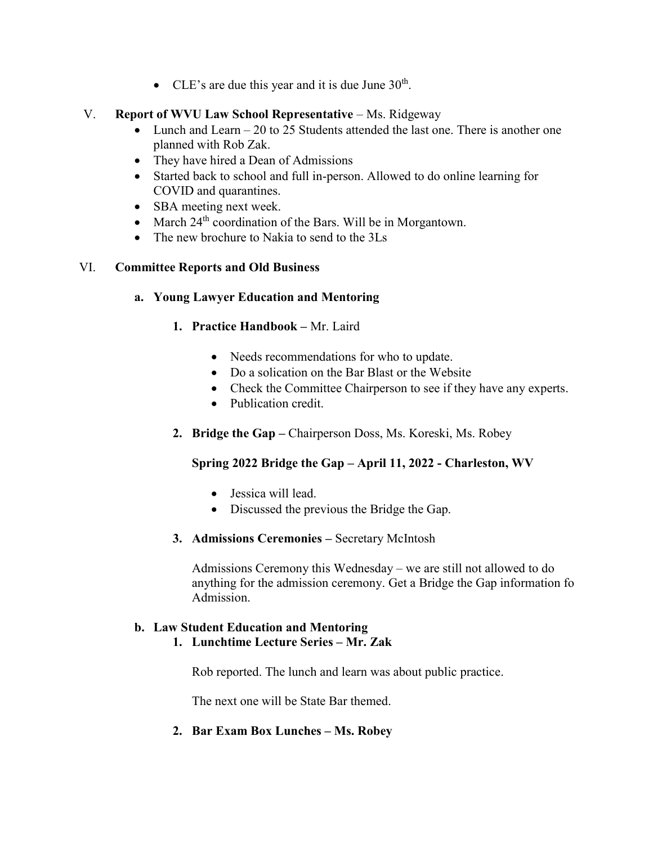• CLE's are due this year and it is due June  $30<sup>th</sup>$ .

### V. Report of WVU Law School Representative – Ms. Ridgeway

- Lunch and Learn 20 to 25 Students attended the last one. There is another one planned with Rob Zak.
- They have hired a Dean of Admissions
- Started back to school and full in-person. Allowed to do online learning for COVID and quarantines.
- SBA meeting next week.
- March  $24<sup>th</sup>$  coordination of the Bars. Will be in Morgantown.
- The new brochure to Nakia to send to the 3Ls

### VI. Committee Reports and Old Business

- a. Young Lawyer Education and Mentoring
	- 1. Practice Handbook Mr. Laird
		- Needs recommendations for who to update.
		- Do a solication on the Bar Blast or the Website
		- Check the Committee Chairperson to see if they have any experts.
		- Publication credit.
	- 2. Bridge the Gap Chairperson Doss, Ms. Koreski, Ms. Robey

## Spring 2022 Bridge the Gap – April 11, 2022 - Charleston, WV

- Jessica will lead.
- Discussed the previous the Bridge the Gap.
- 3. Admissions Ceremonies Secretary McIntosh

Admissions Ceremony this Wednesday – we are still not allowed to do anything for the admission ceremony. Get a Bridge the Gap information fo Admission.

## b. Law Student Education and Mentoring

1. Lunchtime Lecture Series – Mr. Zak

Rob reported. The lunch and learn was about public practice.

The next one will be State Bar themed.

2. Bar Exam Box Lunches – Ms. Robey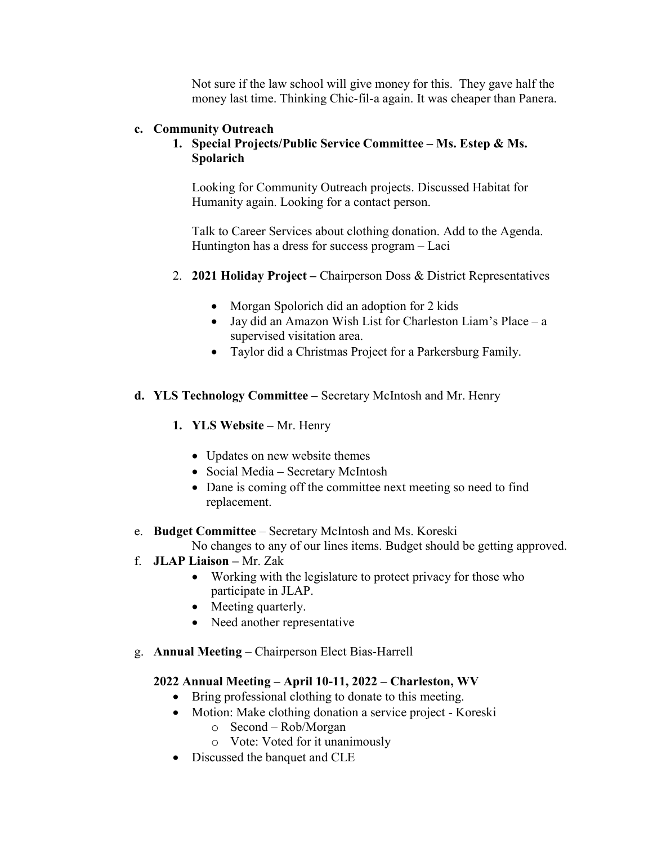Not sure if the law school will give money for this. They gave half the money last time. Thinking Chic-fil-a again. It was cheaper than Panera.

#### c. Community Outreach

### 1. Special Projects/Public Service Committee – Ms. Estep & Ms. Spolarich

Looking for Community Outreach projects. Discussed Habitat for Humanity again. Looking for a contact person.

Talk to Career Services about clothing donation. Add to the Agenda. Huntington has a dress for success program – Laci

- 2. 2021 Holiday Project Chairperson Doss & District Representatives
	- Morgan Spolorich did an adoption for 2 kids
	- Jay did an Amazon Wish List for Charleston Liam's Place a supervised visitation area.
	- Taylor did a Christmas Project for a Parkersburg Family.
- d. YLS Technology Committee Secretary McIntosh and Mr. Henry
	- 1. YLS Website Mr. Henry
		- Updates on new website themes
		- Social Media Secretary McIntosh
		- Dane is coming off the committee next meeting so need to find replacement.
- e. Budget Committee Secretary McIntosh and Ms. Koreski

No changes to any of our lines items. Budget should be getting approved.

- f. JLAP Liaison Mr. Zak
	- Working with the legislature to protect privacy for those who participate in JLAP.
	- Meeting quarterly.
	- Need another representative
- g. Annual Meeting Chairperson Elect Bias-Harrell

### 2022 Annual Meeting – April 10-11, 2022 – Charleston, WV

- Bring professional clothing to donate to this meeting.
- Motion: Make clothing donation a service project Koreski
	- o Second Rob/Morgan
	- o Vote: Voted for it unanimously
- Discussed the banquet and CLE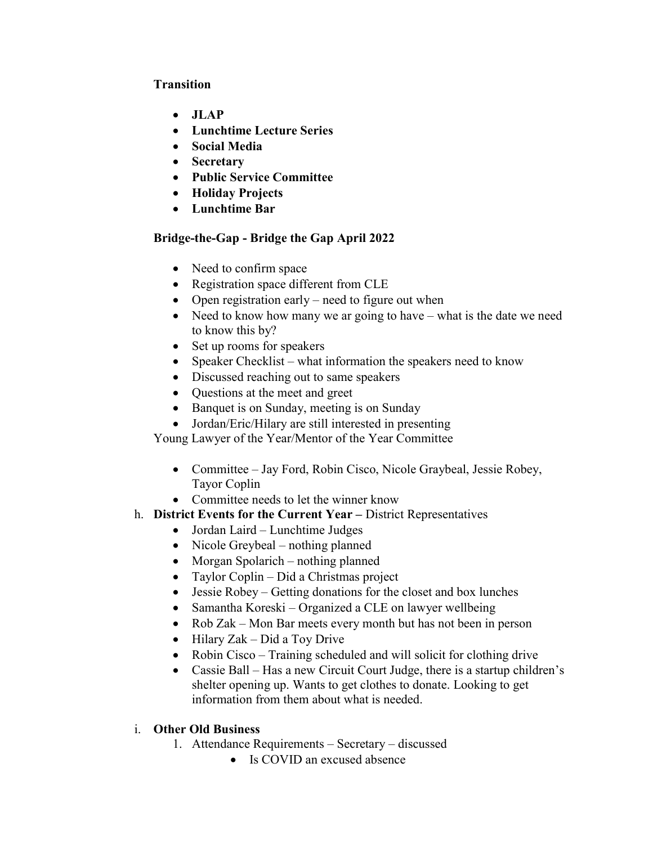### Transition

- $\bullet$  JLAP
- Lunchtime Lecture Series
- Social Media
- Secretary
- Public Service Committee
- Holiday Projects
- Lunchtime Bar

## Bridge-the-Gap - Bridge the Gap April 2022

- Need to confirm space
- Registration space different from CLE
- Open registration early need to figure out when
- Need to know how many we ar going to have what is the date we need to know this by?
- Set up rooms for speakers
- Speaker Checklist what information the speakers need to know
- Discussed reaching out to same speakers
- Questions at the meet and greet
- Banquet is on Sunday, meeting is on Sunday
- Jordan/Eric/Hilary are still interested in presenting

Young Lawyer of the Year/Mentor of the Year Committee

- Committee Jay Ford, Robin Cisco, Nicole Graybeal, Jessie Robey, Tayor Coplin
- Committee needs to let the winner know
- h. District Events for the Current Year District Representatives
	- Jordan Laird Lunchtime Judges
	- Nicole Greybeal nothing planned
	- Morgan Spolarich nothing planned
	- Taylor Coplin Did a Christmas project
	- Jessie Robey Getting donations for the closet and box lunches
	- Samantha Koreski Organized a CLE on lawyer wellbeing
	- Rob Zak Mon Bar meets every month but has not been in person
	- $\bullet$  Hilary Zak Did a Toy Drive
	- Robin Cisco Training scheduled and will solicit for clothing drive
	- Cassie Ball Has a new Circuit Court Judge, there is a startup children's shelter opening up. Wants to get clothes to donate. Looking to get information from them about what is needed.
- i. Other Old Business
	- 1. Attendance Requirements Secretary discussed
		- Is COVID an excused absence